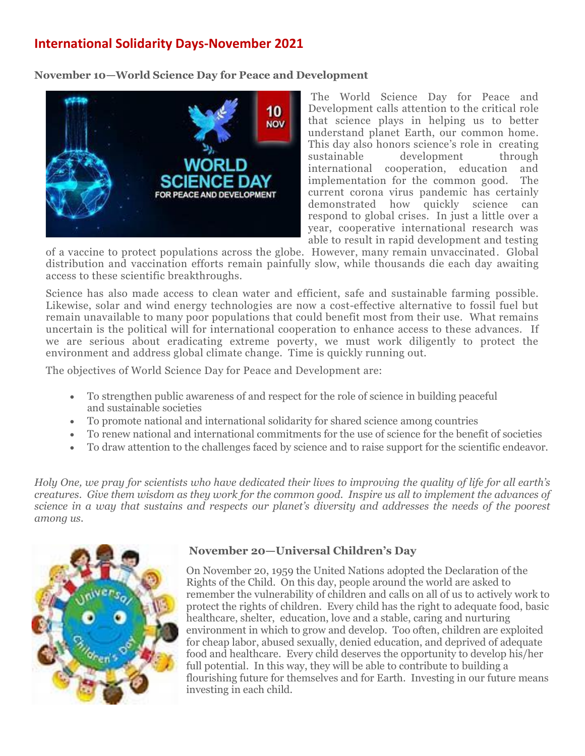## **[International Solidarity Days-November](http://www.franciscansisters-fcjm.org/index.php/en/join-us/suggested-participation/1053-participation-october-2015) 2021**

**November 10—World Science Day for Peace and Development**



The [World Science Day for Peace and](http://www.unesco.org/new/en/unesco/events/prizes-and-celebrations/celebrations/international-days/world-science-day-for-peace-and-development/world-science-day-2014/)  [Development](http://www.unesco.org/new/en/unesco/events/prizes-and-celebrations/celebrations/international-days/world-science-day-for-peace-and-development/world-science-day-2014/) calls attention to the critical role that science plays in helping us to better understand planet Earth, our common home. This day also honors science's role in creating sustainable development through international cooperation, education and implementation for the common good. The current corona virus pandemic has certainly demonstrated how quickly science can respond to global crises. In just a little over a year, cooperative international research was able to result in rapid development and testing

of a vaccine to protect populations across the globe. However, many remain unvaccinated. Global distribution and vaccination efforts remain painfully slow, while thousands die each day awaiting access to these scientific breakthroughs.

Science has also made access to clean water and efficient, safe and sustainable farming possible. Likewise, solar and wind energy technologies are now a cost-effective alternative to fossil fuel but remain unavailable to many poor populations that could benefit most from their use. What remains uncertain is the political will for international cooperation to enhance access to these advances. If we are serious about eradicating extreme poverty, we must work diligently to protect the environment and address global climate change. Time is quickly running out.

The objectives of World Science Day for Peace and Development are:

- To strengthen [public awareness](https://en.wikipedia.org/wiki/Public_awareness_of_science) of and respect for the role of science in building peaceful and [sustainable](https://en.wikipedia.org/wiki/Sustainable) societies
- To promote national and international solidarity for shared science among countries
- To renew national and international commitments for the use of science for the benefit of societies
- To draw attention to the challenges faced by science and to raise support for the scientific endeavor.

*Holy One, we pray for scientists who have dedicated their lives to improving the quality of life for all earth's creatures. Give them wisdom as they work for the common good. Inspire us all to implement the advances of science in a way that sustains and respects our planet's diversity and addresses the needs of the poorest among us.*



## **November 20—Universal Children's Day**

On November 20, 1959 the United Nations adopted the Declaration of the Rights of the Child. On this day, people around the world are asked to remember the vulnerability of children and calls on all of us to actively work to protect the rights of children. Every child has the right to adequate food, basic healthcare, shelter, education, love and a stable, caring and nurturing environment in which to grow and develop. Too often, children are exploited for cheap labor, abused sexually, denied education, and deprived of adequate food and healthcare. Every child deserves the opportunity to develop his/her full potential. In this way, they will be able to contribute to building a flourishing future for themselves and for Earth. Investing in our future means investing in each child.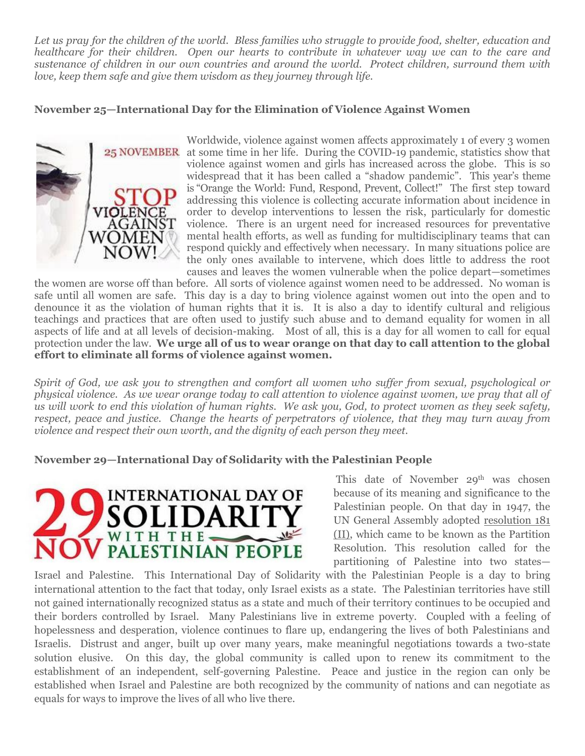*Let us pray for the children of the world. Bless families who struggle to provide food, shelter, education and healthcare for their children. Open our hearts to contribute in whatever way we can to the care and sustenance of children in our own countries and around the world. Protect children, surround them with love, keep them safe and give them wisdom as they journey through life.* 

## **November 25—International Day for the Elimination of Violence Against Women**



Worldwide, violence against women affects approximately 1 of every 3 women 25 NOVEMBER at some time in her life. During the COVID-19 pandemic, statistics show that violence against women and girls has increased across the globe. This is so widespread that it has been called a "shadow pandemic". This year's theme is ["Orange the World: Fund, Respond, Prevent, Collect!"](https://www.unwomen.org/en/news/in-focus/end-violence-against-women) The first step toward addressing this violence is collecting accurate information about incidence in order to develop interventions to lessen the risk, particularly for domestic violence. There is an urgent need for increased resources for preventative mental health efforts, as well as funding for multidisciplinary teams that can respond quickly and effectively when necessary. In many situations police are the only ones available to intervene, which does little to address the root causes and leaves the women vulnerable when the police depart—sometimes

the women are worse off than before. All sorts of violence against women need to be addressed. No woman is safe until all women are safe. This day is a day to bring violence against women out into the open and to denounce it as the violation of human rights that it is. It is also a day to identify cultural and religious teachings and practices that are often used to justify such abuse and to demand equality for women in all aspects of life and at all levels of decision-making. Most of all, this is a day for all women to call for equal protection under the law. **We urge all of us to wear orange on that day to call attention to the global effort to eliminate all forms of violence against women.**

*Spirit of God, we ask you to strengthen and comfort all women who suffer from sexual, psychological or physical violence. As we wear orange today to call attention to violence against women, we pray that all of us will work to end this violation of human rights. We ask you, God, to protect women as they seek safety, respect, peace and justice. Change the hearts of perpetrators of violence, that they may turn away from violence and respect their own worth, and the dignity of each person they meet.* 

## **November 29—International Day of Solidarity with the Palestinian People**



This date of November 29<sup>th</sup> was chosen because of its meaning and significance to the Palestinian people. On that day in 1947, the UN General Assembly adopted [resolution 181](http://unispal.un.org/unispal.nsf/0/7F0AF2BD897689B785256C330061D253)  [\(II\),](http://unispal.un.org/unispal.nsf/0/7F0AF2BD897689B785256C330061D253) which came to be known as the Partition Resolution. This resolution called for the partitioning of Palestine into two states—

Israel and Palestine. This International Day of Solidarity with the Palestinian People is a day to bring international attention to the fact that today, only Israel exists as a state. The Palestinian territories have still not gained internationally recognized status as a state and much of their territory continues to be occupied and their borders controlled by Israel. Many Palestinians live in extreme poverty. Coupled with a feeling of hopelessness and desperation, violence continues to flare up, endangering the lives of both Palestinians and Israelis. Distrust and anger, built up over many years, make meaningful negotiations towards a two-state solution elusive. On this day, the global community is called upon to renew its commitment to the establishment of an independent, self-governing Palestine. Peace and justice in the region can only be established when Israel and Palestine are both recognized by the community of nations and can negotiate as equals for ways to improve the lives of all who live there.